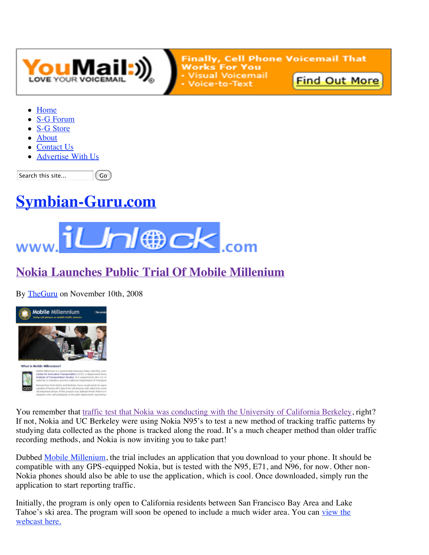

**Finally, Cell Phone Voicemail That Works For You Visual Voicemail Find Out More** Voice-to-Text

- Home
- S-G Forum
- S-G Store
- About
- Contact Us
- Advertise With Us

Go<sup>1</sup> Search this site...

# **Symbian-Guru.com**



## **Nokia Launches Public Trial Of Mobile Millenium**

By TheGuru on November 10th, 2008





You remember that traffic test that Nokia was conducting with the University of California Berkeley, right? If not, Nokia and UC Berkeley were using Nokia N95's to test a new method of tracking traffic patterns by studying data collected as the phone is tracked along the road. It's a much cheaper method than older traffic recording methods, and Nokia is now inviting you to take part!

Dubbed Mobile Millenium, the trial includes an application that you download to your phone. It should be compatible with any GPS-equipped Nokia, but is tested with the N95, E71, and N96, for now. Other non-Nokia phones should also be able to use the application, which is cool. Once downloaded, simply run the application to start reporting traffic.

Initially, the program is only open to California residents between San Francisco Bay Area and Lake Tahoe's ski area. The program will soon be opened to include a much wider area. You can view the webcast here.